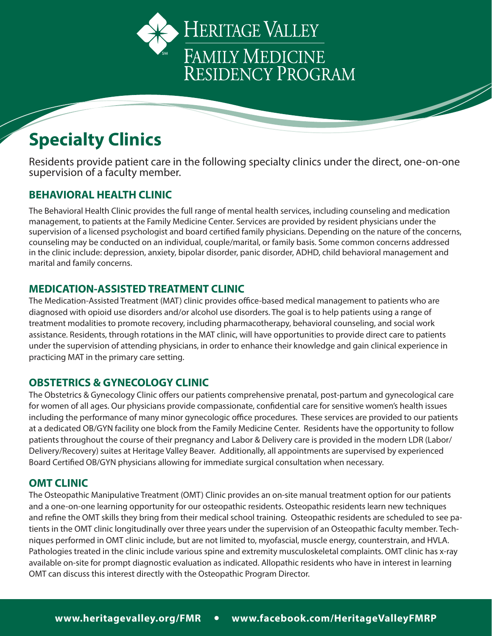



Residents provide patient care in the following specialty clinics under the direct, one-on-one supervision of a faculty member.

# **BEHAVIORAL HEALTH CLINIC**

The Behavioral Health Clinic provides the full range of mental health services, including counseling and medication management, to patients at the Family Medicine Center. Services are provided by resident physicians under the supervision of a licensed psychologist and board certified family physicians. Depending on the nature of the concerns, counseling may be conducted on an individual, couple/marital, or family basis. Some common concerns addressed in the clinic include: depression, anxiety, bipolar disorder, panic disorder, ADHD, child behavioral management and marital and family concerns.

### **MEDICATION-ASSISTED TREATMENT CLINIC**

The Medication-Assisted Treatment (MAT) clinic provides office-based medical management to patients who are diagnosed with opioid use disorders and/or alcohol use disorders. The goal is to help patients using a range of treatment modalities to promote recovery, including pharmacotherapy, behavioral counseling, and social work assistance. Residents, through rotations in the MAT clinic, will have opportunities to provide direct care to patients under the supervision of attending physicians, in order to enhance their knowledge and gain clinical experience in practicing MAT in the primary care setting.

## **OBSTETRICS & GYNECOLOGY CLINIC**

The Obstetrics & Gynecology Clinic offers our patients comprehensive prenatal, post-partum and gynecological care for women of all ages. Our physicians provide compassionate, confidential care for sensitive women's health issues including the performance of many minor gynecologic office procedures. These services are provided to our patients at a dedicated OB/GYN facility one block from the Family Medicine Center. Residents have the opportunity to follow patients throughout the course of their pregnancy and Labor & Delivery care is provided in the modern LDR (Labor/ Delivery/Recovery) suites at Heritage Valley Beaver. Additionally, all appointments are supervised by experienced Board Certified OB/GYN physicians allowing for immediate surgical consultation when necessary.

### **OMT CLINIC**

The Osteopathic Manipulative Treatment (OMT) Clinic provides an on-site manual treatment option for our patients and a one-on-one learning opportunity for our osteopathic residents. Osteopathic residents learn new techniques and refine the OMT skills they bring from their medical school training. Osteopathic residents are scheduled to see patients in the OMT clinic longitudinally over three years under the supervision of an Osteopathic faculty member. Techniques performed in OMT clinic include, but are not limited to, myofascial, muscle energy, counterstrain, and HVLA. Pathologies treated in the clinic include various spine and extremity musculoskeletal complaints. OMT clinic has x-ray available on-site for prompt diagnostic evaluation as indicated. Allopathic residents who have in interest in learning OMT can discuss this interest directly with the Osteopathic Program Director.